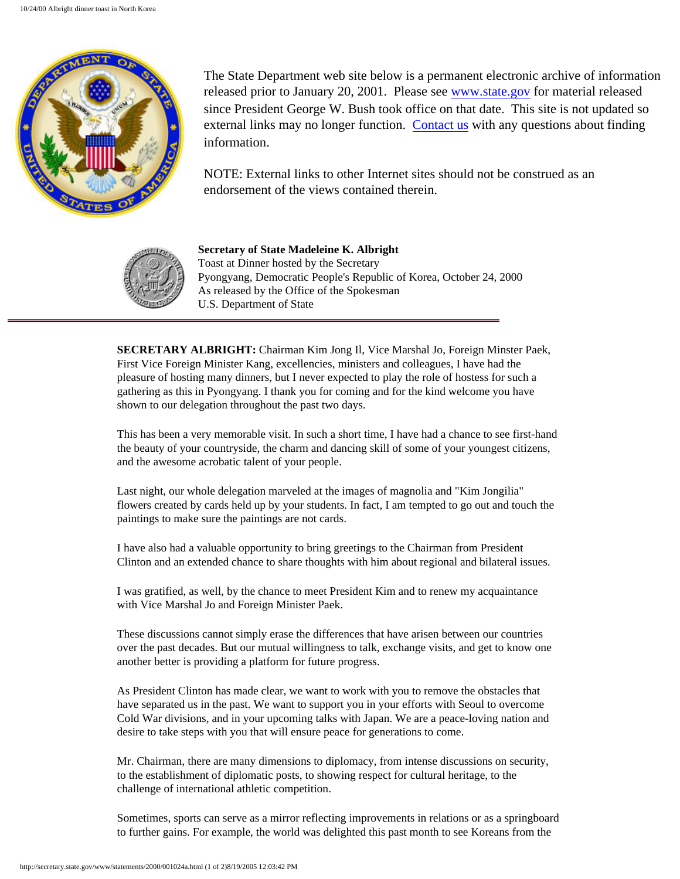

The State Department web site below is a permanent electronic archive of information released prior to January 20, 2001. Please see [www.state.gov](http://www.state.gov/) for material released since President George W. Bush took office on that date. This site is not updated so external links may no longer function. [Contact us](http://state.gov/documents/ContactUs.cfm) with any questions about finding information.

NOTE: External links to other Internet sites should not be construed as an endorsement of the views contained therein.



**Secretary of State Madeleine K. Albright** Toast at Dinner hosted by the Secretary Pyongyang, Democratic People's Republic of Korea, October 24, 2000 As released by the Office of the Spokesman U.S. Department of State

**SECRETARY ALBRIGHT:** Chairman Kim Jong Il, Vice Marshal Jo, Foreign Minster Paek, First Vice Foreign Minister Kang, excellencies, ministers and colleagues, I have had the pleasure of hosting many dinners, but I never expected to play the role of hostess for such a gathering as this in Pyongyang. I thank you for coming and for the kind welcome you have shown to our delegation throughout the past two days.

This has been a very memorable visit. In such a short time, I have had a chance to see first-hand the beauty of your countryside, the charm and dancing skill of some of your youngest citizens, and the awesome acrobatic talent of your people.

Last night, our whole delegation marveled at the images of magnolia and "Kim Jongilia" flowers created by cards held up by your students. In fact, I am tempted to go out and touch the paintings to make sure the paintings are not cards.

I have also had a valuable opportunity to bring greetings to the Chairman from President Clinton and an extended chance to share thoughts with him about regional and bilateral issues.

I was gratified, as well, by the chance to meet President Kim and to renew my acquaintance with Vice Marshal Jo and Foreign Minister Paek.

These discussions cannot simply erase the differences that have arisen between our countries over the past decades. But our mutual willingness to talk, exchange visits, and get to know one another better is providing a platform for future progress.

As President Clinton has made clear, we want to work with you to remove the obstacles that have separated us in the past. We want to support you in your efforts with Seoul to overcome Cold War divisions, and in your upcoming talks with Japan. We are a peace-loving nation and desire to take steps with you that will ensure peace for generations to come.

Mr. Chairman, there are many dimensions to diplomacy, from intense discussions on security, to the establishment of diplomatic posts, to showing respect for cultural heritage, to the challenge of international athletic competition.

Sometimes, sports can serve as a mirror reflecting improvements in relations or as a springboard to further gains. For example, the world was delighted this past month to see Koreans from the